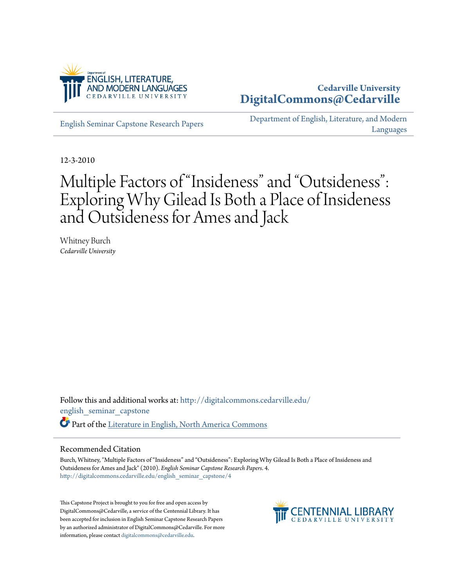

## **Cedarville University [DigitalCommons@Cedarville](http://digitalcommons.cedarville.edu?utm_source=digitalcommons.cedarville.edu%2Fenglish_seminar_capstone%2F4&utm_medium=PDF&utm_campaign=PDFCoverPages)**

[English Seminar Capstone Research Papers](http://digitalcommons.cedarville.edu/english_seminar_capstone?utm_source=digitalcommons.cedarville.edu%2Fenglish_seminar_capstone%2F4&utm_medium=PDF&utm_campaign=PDFCoverPages)

[Department of English, Literature, and Modern](http://digitalcommons.cedarville.edu/english_literature_modern_languages?utm_source=digitalcommons.cedarville.edu%2Fenglish_seminar_capstone%2F4&utm_medium=PDF&utm_campaign=PDFCoverPages) [Languages](http://digitalcommons.cedarville.edu/english_literature_modern_languages?utm_source=digitalcommons.cedarville.edu%2Fenglish_seminar_capstone%2F4&utm_medium=PDF&utm_campaign=PDFCoverPages)

12-3-2010

# Multiple Factors of "Insideness" and "Outsideness": Exploring Why Gilead Is Both a Place of Insideness and Outsideness for Ames and Jack

Whitney Burch *Cedarville University*

Follow this and additional works at: [http://digitalcommons.cedarville.edu/](http://digitalcommons.cedarville.edu/english_seminar_capstone?utm_source=digitalcommons.cedarville.edu%2Fenglish_seminar_capstone%2F4&utm_medium=PDF&utm_campaign=PDFCoverPages) [english\\_seminar\\_capstone](http://digitalcommons.cedarville.edu/english_seminar_capstone?utm_source=digitalcommons.cedarville.edu%2Fenglish_seminar_capstone%2F4&utm_medium=PDF&utm_campaign=PDFCoverPages) Part of the [Literature in English, North America Commons](http://network.bepress.com/hgg/discipline/458?utm_source=digitalcommons.cedarville.edu%2Fenglish_seminar_capstone%2F4&utm_medium=PDF&utm_campaign=PDFCoverPages)

#### Recommended Citation

Burch, Whitney, "Multiple Factors of "Insideness" and "Outsideness": Exploring Why Gilead Is Both a Place of Insideness and Outsideness for Ames and Jack" (2010). *English Seminar Capstone Research Papers*. 4. [http://digitalcommons.cedarville.edu/english\\_seminar\\_capstone/4](http://digitalcommons.cedarville.edu/english_seminar_capstone/4?utm_source=digitalcommons.cedarville.edu%2Fenglish_seminar_capstone%2F4&utm_medium=PDF&utm_campaign=PDFCoverPages)

This Capstone Project is brought to you for free and open access by DigitalCommons@Cedarville, a service of the Centennial Library. It has been accepted for inclusion in English Seminar Capstone Research Papers by an authorized administrator of DigitalCommons@Cedarville. For more information, please contact [digitalcommons@cedarville.edu.](mailto:digitalcommons@cedarville.edu)

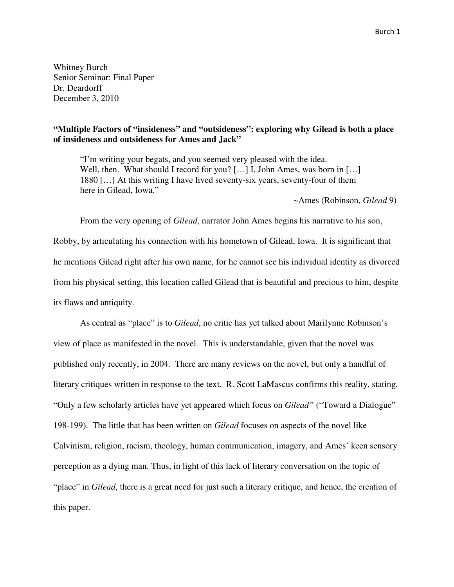Whitney Burch Senior Seminar: Final Paper Dr. Deardorff December 3, 2010

### **"Multiple Factors of "insideness" and "outsideness": exploring why Gilead is both a place of insideness and outsideness for Ames and Jack"**

"I'm writing your begats, and you seemed very pleased with the idea. Well, then. What should I record for you? [...] I, John Ames, was born in [...] 1880 […] At this writing I have lived seventy-six years, seventy-four of them here in Gilead, Iowa."

~Ames (Robinson, *Gilead* 9)

From the very opening of *Gilead*, narrator John Ames begins his narrative to his son, Robby, by articulating his connection with his hometown of Gilead, Iowa. It is significant that he mentions Gilead right after his own name, for he cannot see his individual identity as divorced from his physical setting, this location called Gilead that is beautiful and precious to him, despite its flaws and antiquity.

 As central as "place" is to *Gilead*, no critic has yet talked about Marilynne Robinson's view of place as manifested in the novel*.* This is understandable, given that the novel was published only recently, in 2004. There are many reviews on the novel, but only a handful of literary critiques written in response to the text*.* R. Scott LaMascus confirms this reality, stating, "Only a few scholarly articles have yet appeared which focus on *Gilead"* ("Toward a Dialogue" 198-199). The little that has been written on *Gilead* focuses on aspects of the novel like Calvinism, religion, racism, theology, human communication, imagery, and Ames' keen sensory perception as a dying man. Thus, in light of this lack of literary conversation on the topic of "place" in *Gilead*, there is a great need for just such a literary critique, and hence, the creation of this paper.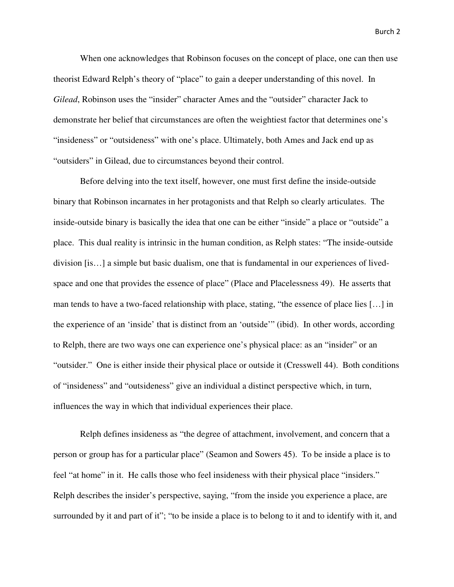When one acknowledges that Robinson focuses on the concept of place, one can then use theorist Edward Relph's theory of "place" to gain a deeper understanding of this novel.In *Gilead*, Robinson uses the "insider" character Ames and the "outsider" character Jack to demonstrate her belief that circumstances are often the weightiest factor that determines one's "insideness" or "outsideness" with one's place. Ultimately, both Ames and Jack end up as "outsiders" in Gilead, due to circumstances beyond their control.

 Before delving into the text itself, however, one must first define the inside-outside binary that Robinson incarnates in her protagonists and that Relph so clearly articulates. The inside-outside binary is basically the idea that one can be either "inside" a place or "outside" a place. This dual reality is intrinsic in the human condition, as Relph states: "The inside-outside division [is…] a simple but basic dualism, one that is fundamental in our experiences of livedspace and one that provides the essence of place" (Place and Placelessness 49). He asserts that man tends to have a two-faced relationship with place, stating, "the essence of place lies […] in the experience of an 'inside' that is distinct from an 'outside'" (ibid). In other words, according to Relph, there are two ways one can experience one's physical place: as an "insider" or an "outsider." One is either inside their physical place or outside it (Cresswell 44). Both conditions of "insideness" and "outsideness" give an individual a distinct perspective which, in turn, influences the way in which that individual experiences their place.

 Relph defines insideness as "the degree of attachment, involvement, and concern that a person or group has for a particular place" (Seamon and Sowers 45). To be inside a place is to feel "at home" in it. He calls those who feel insideness with their physical place "insiders." Relph describes the insider's perspective, saying, "from the inside you experience a place, are surrounded by it and part of it"; "to be inside a place is to belong to it and to identify with it, and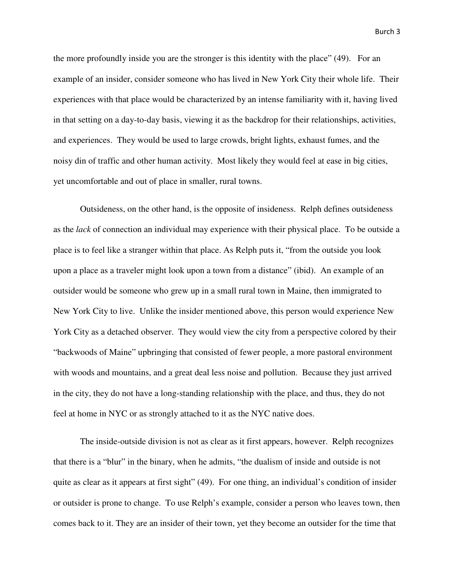the more profoundly inside you are the stronger is this identity with the place" (49). For an example of an insider, consider someone who has lived in New York City their whole life. Their experiences with that place would be characterized by an intense familiarity with it, having lived in that setting on a day-to-day basis, viewing it as the backdrop for their relationships, activities, and experiences. They would be used to large crowds, bright lights, exhaust fumes, and the noisy din of traffic and other human activity. Most likely they would feel at ease in big cities, yet uncomfortable and out of place in smaller, rural towns.

 Outsideness, on the other hand, is the opposite of insideness. Relph defines outsideness as the *lack* of connection an individual may experience with their physical place. To be outside a place is to feel like a stranger within that place. As Relph puts it, "from the outside you look upon a place as a traveler might look upon a town from a distance" (ibid). An example of an outsider would be someone who grew up in a small rural town in Maine, then immigrated to New York City to live. Unlike the insider mentioned above, this person would experience New York City as a detached observer. They would view the city from a perspective colored by their "backwoods of Maine" upbringing that consisted of fewer people, a more pastoral environment with woods and mountains, and a great deal less noise and pollution. Because they just arrived in the city, they do not have a long-standing relationship with the place, and thus, they do not feel at home in NYC or as strongly attached to it as the NYC native does.

 The inside-outside division is not as clear as it first appears, however. Relph recognizes that there is a "blur" in the binary, when he admits, "the dualism of inside and outside is not quite as clear as it appears at first sight" (49). For one thing, an individual's condition of insider or outsider is prone to change. To use Relph's example, consider a person who leaves town, then comes back to it. They are an insider of their town, yet they become an outsider for the time that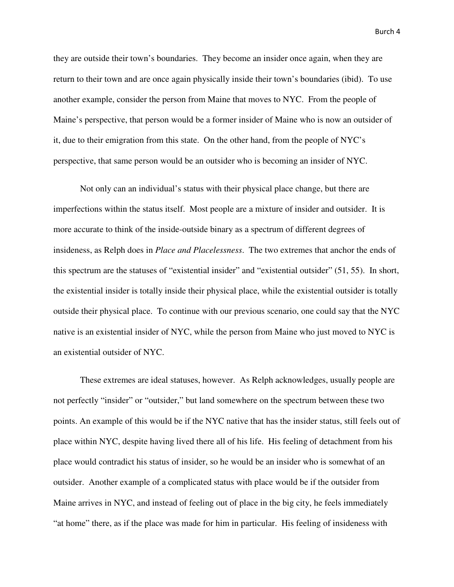they are outside their town's boundaries. They become an insider once again, when they are return to their town and are once again physically inside their town's boundaries (ibid). To use another example, consider the person from Maine that moves to NYC. From the people of Maine's perspective, that person would be a former insider of Maine who is now an outsider of it, due to their emigration from this state. On the other hand, from the people of NYC's perspective, that same person would be an outsider who is becoming an insider of NYC.

 Not only can an individual's status with their physical place change, but there are imperfections within the status itself. Most people are a mixture of insider and outsider. It is more accurate to think of the inside-outside binary as a spectrum of different degrees of insideness, as Relph does in *Place and Placelessness*. The two extremes that anchor the ends of this spectrum are the statuses of "existential insider" and "existential outsider" (51, 55). In short, the existential insider is totally inside their physical place, while the existential outsider is totally outside their physical place. To continue with our previous scenario, one could say that the NYC native is an existential insider of NYC, while the person from Maine who just moved to NYC is an existential outsider of NYC.

 These extremes are ideal statuses, however. As Relph acknowledges, usually people are not perfectly "insider" or "outsider," but land somewhere on the spectrum between these two points. An example of this would be if the NYC native that has the insider status, still feels out of place within NYC, despite having lived there all of his life. His feeling of detachment from his place would contradict his status of insider, so he would be an insider who is somewhat of an outsider. Another example of a complicated status with place would be if the outsider from Maine arrives in NYC, and instead of feeling out of place in the big city, he feels immediately "at home" there, as if the place was made for him in particular. His feeling of insideness with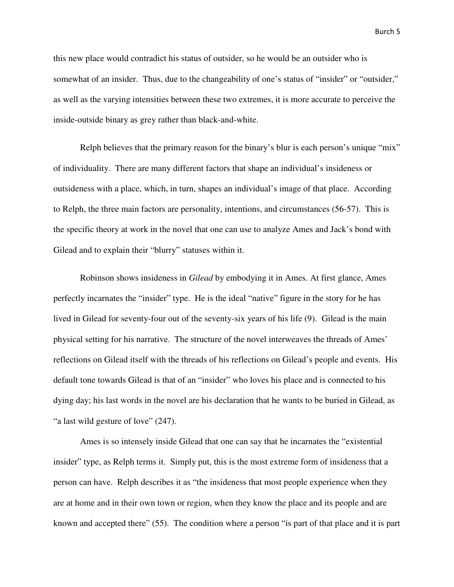this new place would contradict his status of outsider, so he would be an outsider who is somewhat of an insider. Thus, due to the changeability of one's status of "insider" or "outsider," as well as the varying intensities between these two extremes, it is more accurate to perceive the inside-outside binary as grey rather than black-and-white.

Relph believes that the primary reason for the binary's blur is each person's unique "mix" of individuality. There are many different factors that shape an individual's insideness or outsideness with a place, which, in turn, shapes an individual's image of that place. According to Relph, the three main factors are personality, intentions, and circumstances (56-57). This is the specific theory at work in the novel that one can use to analyze Ames and Jack's bond with Gilead and to explain their "blurry" statuses within it.

 Robinson shows insideness in *Gilead* by embodying it in Ames. At first glance, Ames perfectly incarnates the "insider" type. He is the ideal "native" figure in the story for he has lived in Gilead for seventy-four out of the seventy-six years of his life (9). Gilead is the main physical setting for his narrative. The structure of the novel interweaves the threads of Ames' reflections on Gilead itself with the threads of his reflections on Gilead's people and events. His default tone towards Gilead is that of an "insider" who loves his place and is connected to his dying day; his last words in the novel are his declaration that he wants to be buried in Gilead, as "a last wild gesture of love" (247).

 Ames is so intensely inside Gilead that one can say that he incarnates the "existential insider" type, as Relph terms it. Simply put, this is the most extreme form of insideness that a person can have. Relph describes it as "the insideness that most people experience when they are at home and in their own town or region, when they know the place and its people and are known and accepted there" (55). The condition where a person "is part of that place and it is part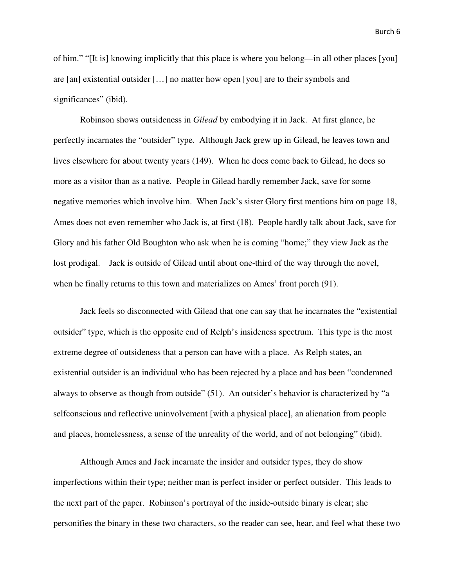of him." "[It is] knowing implicitly that this place is where you belong—in all other places [you] are [an] existential outsider […] no matter how open [you] are to their symbols and significances" (ibid).

 Robinson shows outsideness in *Gilead* by embodying it in Jack. At first glance, he perfectly incarnates the "outsider" type. Although Jack grew up in Gilead, he leaves town and lives elsewhere for about twenty years (149). When he does come back to Gilead, he does so more as a visitor than as a native. People in Gilead hardly remember Jack, save for some negative memories which involve him. When Jack's sister Glory first mentions him on page 18, Ames does not even remember who Jack is, at first (18). People hardly talk about Jack, save for Glory and his father Old Boughton who ask when he is coming "home;" they view Jack as the lost prodigal. Jack is outside of Gilead until about one-third of the way through the novel, when he finally returns to this town and materializes on Ames' front porch (91).

 Jack feels so disconnected with Gilead that one can say that he incarnates the "existential outsider" type, which is the opposite end of Relph's insideness spectrum. This type is the most extreme degree of outsideness that a person can have with a place. As Relph states, an existential outsider is an individual who has been rejected by a place and has been "condemned always to observe as though from outside" (51). An outsider's behavior is characterized by "a selfconscious and reflective uninvolvement [with a physical place], an alienation from people and places, homelessness, a sense of the unreality of the world, and of not belonging" (ibid).

Although Ames and Jack incarnate the insider and outsider types, they do show imperfections within their type; neither man is perfect insider or perfect outsider. This leads to the next part of the paper. Robinson's portrayal of the inside-outside binary is clear; she personifies the binary in these two characters, so the reader can see, hear, and feel what these two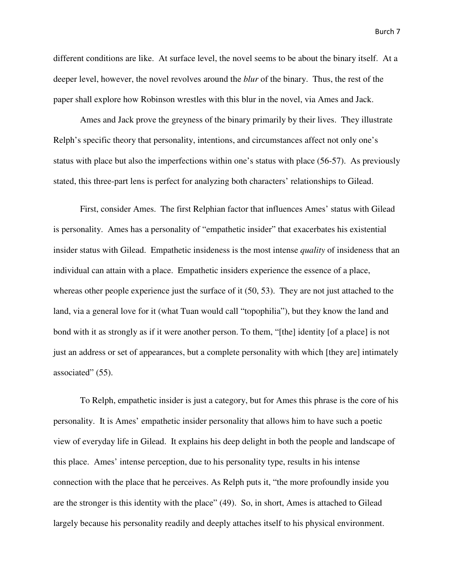different conditions are like. At surface level, the novel seems to be about the binary itself. At a deeper level, however, the novel revolves around the *blur* of the binary. Thus, the rest of the paper shall explore how Robinson wrestles with this blur in the novel, via Ames and Jack.

 Ames and Jack prove the greyness of the binary primarily by their lives. They illustrate Relph's specific theory that personality, intentions, and circumstances affect not only one's status with place but also the imperfections within one's status with place (56-57). As previously stated, this three-part lens is perfect for analyzing both characters' relationships to Gilead.

 First, consider Ames. The first Relphian factor that influences Ames' status with Gilead is personality. Ames has a personality of "empathetic insider" that exacerbates his existential insider status with Gilead. Empathetic insideness is the most intense *quality* of insideness that an individual can attain with a place. Empathetic insiders experience the essence of a place, whereas other people experience just the surface of it (50, 53). They are not just attached to the land, via a general love for it (what Tuan would call "topophilia"), but they know the land and bond with it as strongly as if it were another person. To them, "[the] identity [of a place] is not just an address or set of appearances, but a complete personality with which [they are] intimately associated" (55).

 To Relph, empathetic insider is just a category, but for Ames this phrase is the core of his personality. It is Ames' empathetic insider personality that allows him to have such a poetic view of everyday life in Gilead. It explains his deep delight in both the people and landscape of this place. Ames' intense perception, due to his personality type, results in his intense connection with the place that he perceives. As Relph puts it, "the more profoundly inside you are the stronger is this identity with the place" (49). So, in short, Ames is attached to Gilead largely because his personality readily and deeply attaches itself to his physical environment.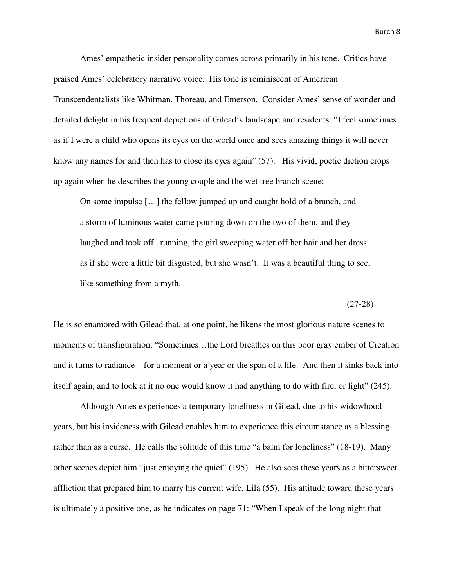Ames' empathetic insider personality comes across primarily in his tone. Critics have praised Ames' celebratory narrative voice. His tone is reminiscent of American Transcendentalists like Whitman, Thoreau, and Emerson. Consider Ames' sense of wonder and detailed delight in his frequent depictions of Gilead's landscape and residents: "I feel sometimes as if I were a child who opens its eyes on the world once and sees amazing things it will never know any names for and then has to close its eyes again" (57). His vivid, poetic diction crops up again when he describes the young couple and the wet tree branch scene:

 On some impulse […] the fellow jumped up and caught hold of a branch, and a storm of luminous water came pouring down on the two of them, and they laughed and took off running, the girl sweeping water off her hair and her dress as if she were a little bit disgusted, but she wasn't. It was a beautiful thing to see, like something from a myth.

(27-28)

He is so enamored with Gilead that, at one point, he likens the most glorious nature scenes to moments of transfiguration: "Sometimes…the Lord breathes on this poor gray ember of Creation and it turns to radiance—for a moment or a year or the span of a life. And then it sinks back into itself again, and to look at it no one would know it had anything to do with fire, or light" (245).

 Although Ames experiences a temporary loneliness in Gilead, due to his widowhood years, but his insideness with Gilead enables him to experience this circumstance as a blessing rather than as a curse. He calls the solitude of this time "a balm for loneliness" (18-19). Many other scenes depict him "just enjoying the quiet" (195). He also sees these years as a bittersweet affliction that prepared him to marry his current wife, Lila (55). His attitude toward these years is ultimately a positive one, as he indicates on page 71: "When I speak of the long night that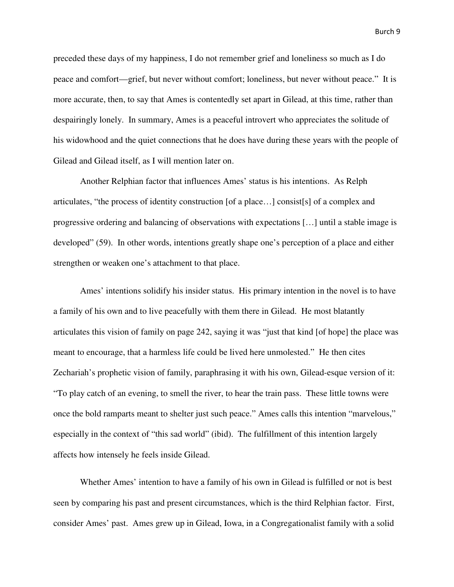preceded these days of my happiness, I do not remember grief and loneliness so much as I do peace and comfort—grief, but never without comfort; loneliness, but never without peace." It is more accurate, then, to say that Ames is contentedly set apart in Gilead, at this time, rather than despairingly lonely. In summary, Ames is a peaceful introvert who appreciates the solitude of his widowhood and the quiet connections that he does have during these years with the people of Gilead and Gilead itself, as I will mention later on.

 Another Relphian factor that influences Ames' status is his intentions. As Relph articulates, "the process of identity construction [of a place…] consist[s] of a complex and progressive ordering and balancing of observations with expectations […] until a stable image is developed" (59). In other words, intentions greatly shape one's perception of a place and either strengthen or weaken one's attachment to that place.

 Ames' intentions solidify his insider status. His primary intention in the novel is to have a family of his own and to live peacefully with them there in Gilead. He most blatantly articulates this vision of family on page 242, saying it was "just that kind [of hope] the place was meant to encourage, that a harmless life could be lived here unmolested." He then cites Zechariah's prophetic vision of family, paraphrasing it with his own, Gilead-esque version of it: "To play catch of an evening, to smell the river, to hear the train pass. These little towns were once the bold ramparts meant to shelter just such peace." Ames calls this intention "marvelous," especially in the context of "this sad world" (ibid). The fulfillment of this intention largely affects how intensely he feels inside Gilead.

 Whether Ames' intention to have a family of his own in Gilead is fulfilled or not is best seen by comparing his past and present circumstances, which is the third Relphian factor. First, consider Ames' past. Ames grew up in Gilead, Iowa, in a Congregationalist family with a solid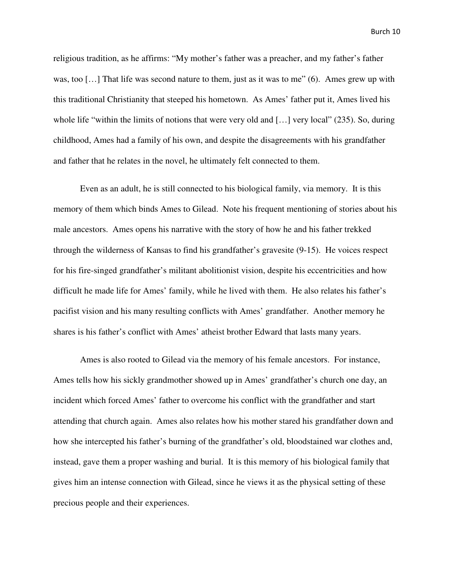religious tradition, as he affirms: "My mother's father was a preacher, and my father's father was, too [...] That life was second nature to them, just as it was to me" (6). Ames grew up with this traditional Christianity that steeped his hometown. As Ames' father put it, Ames lived his whole life "within the limits of notions that were very old and […] very local" (235). So, during childhood, Ames had a family of his own, and despite the disagreements with his grandfather and father that he relates in the novel, he ultimately felt connected to them.

 Even as an adult, he is still connected to his biological family, via memory. It is this memory of them which binds Ames to Gilead. Note his frequent mentioning of stories about his male ancestors. Ames opens his narrative with the story of how he and his father trekked through the wilderness of Kansas to find his grandfather's gravesite (9-15). He voices respect for his fire-singed grandfather's militant abolitionist vision, despite his eccentricities and how difficult he made life for Ames' family, while he lived with them. He also relates his father's pacifist vision and his many resulting conflicts with Ames' grandfather. Another memory he shares is his father's conflict with Ames' atheist brother Edward that lasts many years.

 Ames is also rooted to Gilead via the memory of his female ancestors. For instance, Ames tells how his sickly grandmother showed up in Ames' grandfather's church one day, an incident which forced Ames' father to overcome his conflict with the grandfather and start attending that church again. Ames also relates how his mother stared his grandfather down and how she intercepted his father's burning of the grandfather's old, bloodstained war clothes and, instead, gave them a proper washing and burial. It is this memory of his biological family that gives him an intense connection with Gilead, since he views it as the physical setting of these precious people and their experiences.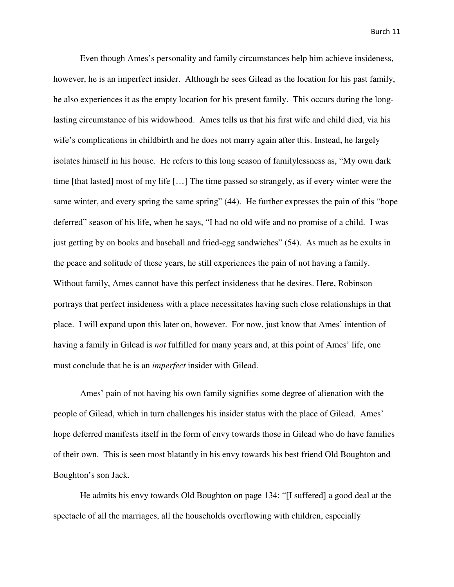Even though Ames's personality and family circumstances help him achieve insideness, however, he is an imperfect insider. Although he sees Gilead as the location for his past family, he also experiences it as the empty location for his present family. This occurs during the longlasting circumstance of his widowhood. Ames tells us that his first wife and child died, via his wife's complications in childbirth and he does not marry again after this. Instead, he largely isolates himself in his house. He refers to this long season of familylessness as, "My own dark time [that lasted] most of my life […] The time passed so strangely, as if every winter were the same winter, and every spring the same spring" (44). He further expresses the pain of this "hope deferred" season of his life, when he says, "I had no old wife and no promise of a child. I was just getting by on books and baseball and fried-egg sandwiches" (54). As much as he exults in the peace and solitude of these years, he still experiences the pain of not having a family. Without family, Ames cannot have this perfect insideness that he desires. Here, Robinson portrays that perfect insideness with a place necessitates having such close relationships in that place. I will expand upon this later on, however. For now, just know that Ames' intention of having a family in Gilead is *not* fulfilled for many years and, at this point of Ames' life, one must conclude that he is an *imperfect* insider with Gilead.

 Ames' pain of not having his own family signifies some degree of alienation with the people of Gilead, which in turn challenges his insider status with the place of Gilead. Ames' hope deferred manifests itself in the form of envy towards those in Gilead who do have families of their own. This is seen most blatantly in his envy towards his best friend Old Boughton and Boughton's son Jack.

 He admits his envy towards Old Boughton on page 134: "[I suffered] a good deal at the spectacle of all the marriages, all the households overflowing with children, especially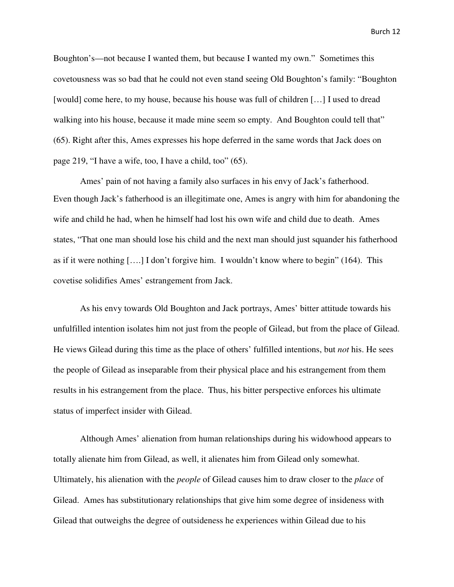Boughton's—not because I wanted them, but because I wanted my own." Sometimes this covetousness was so bad that he could not even stand seeing Old Boughton's family: "Boughton [would] come here, to my house, because his house was full of children […] I used to dread walking into his house, because it made mine seem so empty. And Boughton could tell that" (65). Right after this, Ames expresses his hope deferred in the same words that Jack does on page 219, "I have a wife, too, I have a child, too" (65).

 Ames' pain of not having a family also surfaces in his envy of Jack's fatherhood. Even though Jack's fatherhood is an illegitimate one, Ames is angry with him for abandoning the wife and child he had, when he himself had lost his own wife and child due to death. Ames states, "That one man should lose his child and the next man should just squander his fatherhood as if it were nothing [….] I don't forgive him. I wouldn't know where to begin" (164). This covetise solidifies Ames' estrangement from Jack.

 As his envy towards Old Boughton and Jack portrays, Ames' bitter attitude towards his unfulfilled intention isolates him not just from the people of Gilead, but from the place of Gilead. He views Gilead during this time as the place of others' fulfilled intentions, but *not* his. He sees the people of Gilead as inseparable from their physical place and his estrangement from them results in his estrangement from the place. Thus, his bitter perspective enforces his ultimate status of imperfect insider with Gilead.

 Although Ames' alienation from human relationships during his widowhood appears to totally alienate him from Gilead, as well, it alienates him from Gilead only somewhat. Ultimately, his alienation with the *people* of Gilead causes him to draw closer to the *place* of Gilead. Ames has substitutionary relationships that give him some degree of insideness with Gilead that outweighs the degree of outsideness he experiences within Gilead due to his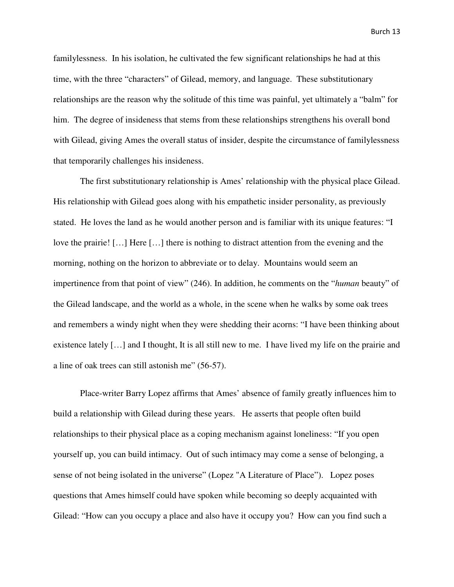familylessness. In his isolation, he cultivated the few significant relationships he had at this time, with the three "characters" of Gilead, memory, and language. These substitutionary relationships are the reason why the solitude of this time was painful, yet ultimately a "balm" for him. The degree of insideness that stems from these relationships strengthens his overall bond with Gilead, giving Ames the overall status of insider, despite the circumstance of familylessness that temporarily challenges his insideness.

 The first substitutionary relationship is Ames' relationship with the physical place Gilead. His relationship with Gilead goes along with his empathetic insider personality, as previously stated. He loves the land as he would another person and is familiar with its unique features: "I love the prairie! […] Here […] there is nothing to distract attention from the evening and the morning, nothing on the horizon to abbreviate or to delay. Mountains would seem an impertinence from that point of view" (246). In addition, he comments on the "*human* beauty" of the Gilead landscape, and the world as a whole, in the scene when he walks by some oak trees and remembers a windy night when they were shedding their acorns: "I have been thinking about existence lately […] and I thought, It is all still new to me. I have lived my life on the prairie and a line of oak trees can still astonish me" (56-57).

 Place-writer Barry Lopez affirms that Ames' absence of family greatly influences him to build a relationship with Gilead during these years. He asserts that people often build relationships to their physical place as a coping mechanism against loneliness: "If you open yourself up, you can build intimacy. Out of such intimacy may come a sense of belonging, a sense of not being isolated in the universe" (Lopez "A Literature of Place"). Lopez poses questions that Ames himself could have spoken while becoming so deeply acquainted with Gilead: "How can you occupy a place and also have it occupy you? How can you find such a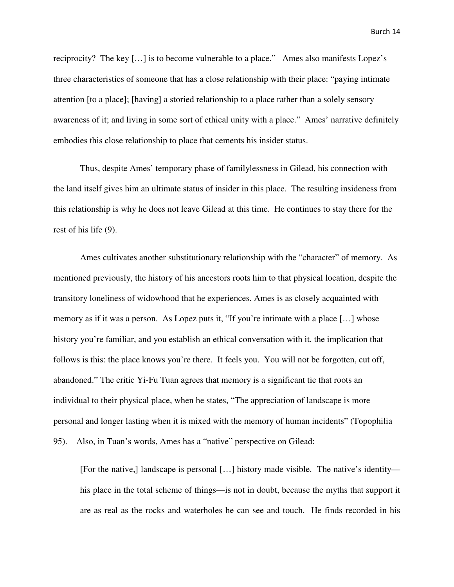reciprocity? The key […] is to become vulnerable to a place." Ames also manifests Lopez's three characteristics of someone that has a close relationship with their place: "paying intimate attention [to a place]; [having] a storied relationship to a place rather than a solely sensory awareness of it; and living in some sort of ethical unity with a place." Ames' narrative definitely embodies this close relationship to place that cements his insider status.

 Thus, despite Ames' temporary phase of familylessness in Gilead, his connection with the land itself gives him an ultimate status of insider in this place. The resulting insideness from this relationship is why he does not leave Gilead at this time. He continues to stay there for the rest of his life (9).

 Ames cultivates another substitutionary relationship with the "character" of memory. As mentioned previously, the history of his ancestors roots him to that physical location, despite the transitory loneliness of widowhood that he experiences. Ames is as closely acquainted with memory as if it was a person. As Lopez puts it, "If you're intimate with a place […] whose history you're familiar, and you establish an ethical conversation with it, the implication that follows is this: the place knows you're there. It feels you. You will not be forgotten, cut off, abandoned." The critic Yi-Fu Tuan agrees that memory is a significant tie that roots an individual to their physical place, when he states, "The appreciation of landscape is more personal and longer lasting when it is mixed with the memory of human incidents" (Topophilia 95). Also, in Tuan's words, Ames has a "native" perspective on Gilead:

 [For the native,] landscape is personal […] history made visible. The native's identity his place in the total scheme of things—is not in doubt, because the myths that support it are as real as the rocks and waterholes he can see and touch. He finds recorded in his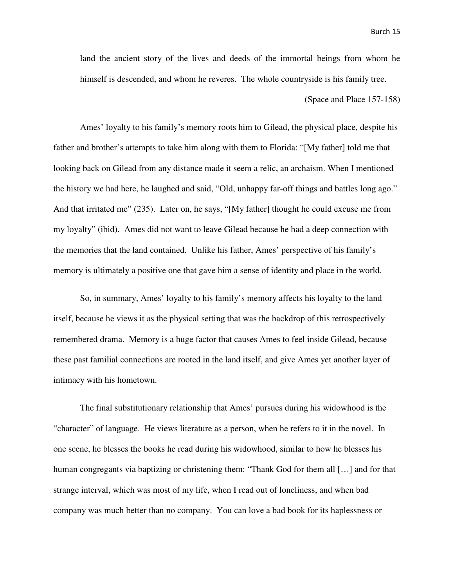land the ancient story of the lives and deeds of the immortal beings from whom he himself is descended, and whom he reveres. The whole countryside is his family tree.

(Space and Place 157-158)

 Ames' loyalty to his family's memory roots him to Gilead, the physical place, despite his father and brother's attempts to take him along with them to Florida: "[My father] told me that looking back on Gilead from any distance made it seem a relic, an archaism. When I mentioned the history we had here, he laughed and said, "Old, unhappy far-off things and battles long ago." And that irritated me" (235). Later on, he says, "[My father] thought he could excuse me from my loyalty" (ibid). Ames did not want to leave Gilead because he had a deep connection with the memories that the land contained. Unlike his father, Ames' perspective of his family's memory is ultimately a positive one that gave him a sense of identity and place in the world.

 So, in summary, Ames' loyalty to his family's memory affects his loyalty to the land itself, because he views it as the physical setting that was the backdrop of this retrospectively remembered drama. Memory is a huge factor that causes Ames to feel inside Gilead, because these past familial connections are rooted in the land itself, and give Ames yet another layer of intimacy with his hometown.

 The final substitutionary relationship that Ames' pursues during his widowhood is the "character" of language. He views literature as a person, when he refers to it in the novel. In one scene, he blesses the books he read during his widowhood, similar to how he blesses his human congregants via baptizing or christening them: "Thank God for them all [...] and for that strange interval, which was most of my life, when I read out of loneliness, and when bad company was much better than no company. You can love a bad book for its haplessness or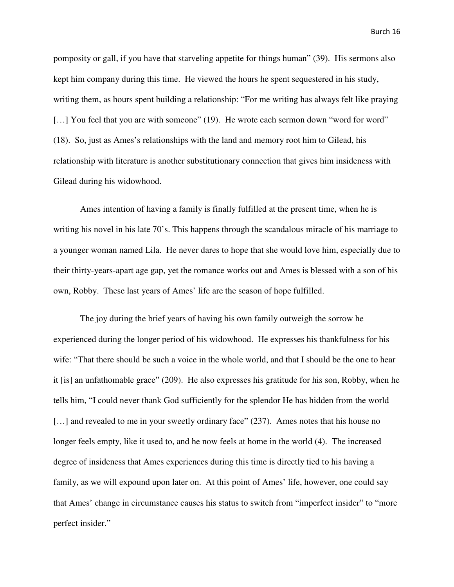pomposity or gall, if you have that starveling appetite for things human" (39). His sermons also kept him company during this time. He viewed the hours he spent sequestered in his study, writing them, as hours spent building a relationship: "For me writing has always felt like praying [...] You feel that you are with someone" (19). He wrote each sermon down "word for word" (18). So, just as Ames's relationships with the land and memory root him to Gilead, his relationship with literature is another substitutionary connection that gives him insideness with Gilead during his widowhood.

 Ames intention of having a family is finally fulfilled at the present time, when he is writing his novel in his late 70's. This happens through the scandalous miracle of his marriage to a younger woman named Lila. He never dares to hope that she would love him, especially due to their thirty-years-apart age gap, yet the romance works out and Ames is blessed with a son of his own, Robby. These last years of Ames' life are the season of hope fulfilled.

 The joy during the brief years of having his own family outweigh the sorrow he experienced during the longer period of his widowhood. He expresses his thankfulness for his wife: "That there should be such a voice in the whole world, and that I should be the one to hear it [is] an unfathomable grace" (209). He also expresses his gratitude for his son, Robby, when he tells him, "I could never thank God sufficiently for the splendor He has hidden from the world [...] and revealed to me in your sweetly ordinary face" (237). Ames notes that his house no longer feels empty, like it used to, and he now feels at home in the world (4). The increased degree of insideness that Ames experiences during this time is directly tied to his having a family, as we will expound upon later on. At this point of Ames' life, however, one could say that Ames' change in circumstance causes his status to switch from "imperfect insider" to "more perfect insider."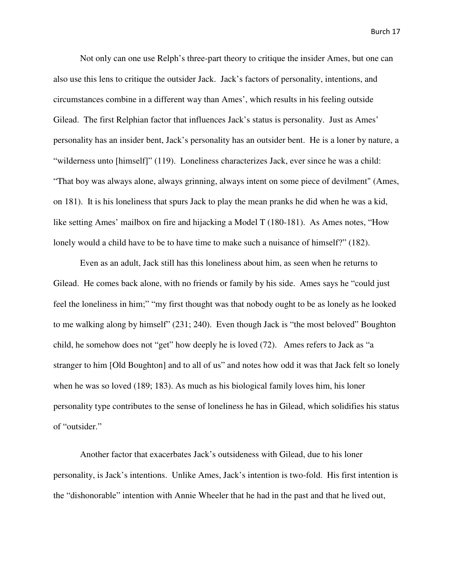Not only can one use Relph's three-part theory to critique the insider Ames, but one can also use this lens to critique the outsider Jack. Jack's factors of personality, intentions, and circumstances combine in a different way than Ames', which results in his feeling outside Gilead. The first Relphian factor that influences Jack's status is personality. Just as Ames' personality has an insider bent, Jack's personality has an outsider bent. He is a loner by nature, a "wilderness unto [himself]" (119). Loneliness characterizes Jack, ever since he was a child: "That boy was always alone, always grinning, always intent on some piece of devilment" (Ames, on 181). It is his loneliness that spurs Jack to play the mean pranks he did when he was a kid, like setting Ames' mailbox on fire and hijacking a Model T (180-181). As Ames notes, "How lonely would a child have to be to have time to make such a nuisance of himself?" (182).

 Even as an adult, Jack still has this loneliness about him, as seen when he returns to Gilead. He comes back alone, with no friends or family by his side. Ames says he "could just feel the loneliness in him;" "my first thought was that nobody ought to be as lonely as he looked to me walking along by himself" (231; 240). Even though Jack is "the most beloved" Boughton child, he somehow does not "get" how deeply he is loved (72). Ames refers to Jack as "a stranger to him [Old Boughton] and to all of us" and notes how odd it was that Jack felt so lonely when he was so loved (189; 183). As much as his biological family loves him, his loner personality type contributes to the sense of loneliness he has in Gilead, which solidifies his status of "outsider."

 Another factor that exacerbates Jack's outsideness with Gilead, due to his loner personality, is Jack's intentions. Unlike Ames, Jack's intention is two-fold. His first intention is the "dishonorable" intention with Annie Wheeler that he had in the past and that he lived out,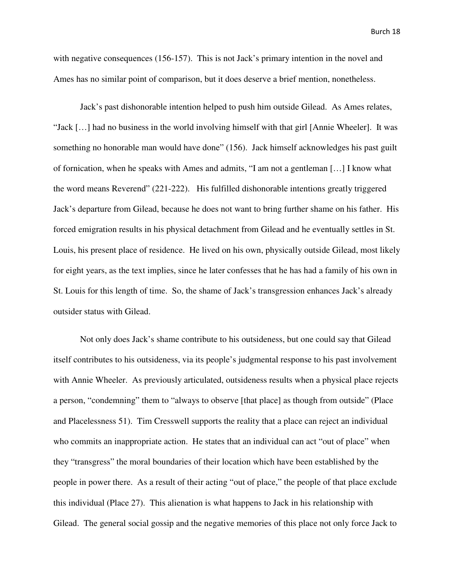with negative consequences (156-157). This is not Jack's primary intention in the novel and Ames has no similar point of comparison, but it does deserve a brief mention, nonetheless.

 Jack's past dishonorable intention helped to push him outside Gilead. As Ames relates, "Jack […] had no business in the world involving himself with that girl [Annie Wheeler]. It was something no honorable man would have done" (156). Jack himself acknowledges his past guilt of fornication, when he speaks with Ames and admits, "I am not a gentleman […] I know what the word means Reverend" (221-222). His fulfilled dishonorable intentions greatly triggered Jack's departure from Gilead, because he does not want to bring further shame on his father. His forced emigration results in his physical detachment from Gilead and he eventually settles in St. Louis, his present place of residence. He lived on his own, physically outside Gilead, most likely for eight years, as the text implies, since he later confesses that he has had a family of his own in St. Louis for this length of time. So, the shame of Jack's transgression enhances Jack's already outsider status with Gilead.

 Not only does Jack's shame contribute to his outsideness, but one could say that Gilead itself contributes to his outsideness, via its people's judgmental response to his past involvement with Annie Wheeler. As previously articulated, outsideness results when a physical place rejects a person, "condemning" them to "always to observe [that place] as though from outside" (Place and Placelessness 51). Tim Cresswell supports the reality that a place can reject an individual who commits an inappropriate action. He states that an individual can act "out of place" when they "transgress" the moral boundaries of their location which have been established by the people in power there. As a result of their acting "out of place," the people of that place exclude this individual (Place 27). This alienation is what happens to Jack in his relationship with Gilead. The general social gossip and the negative memories of this place not only force Jack to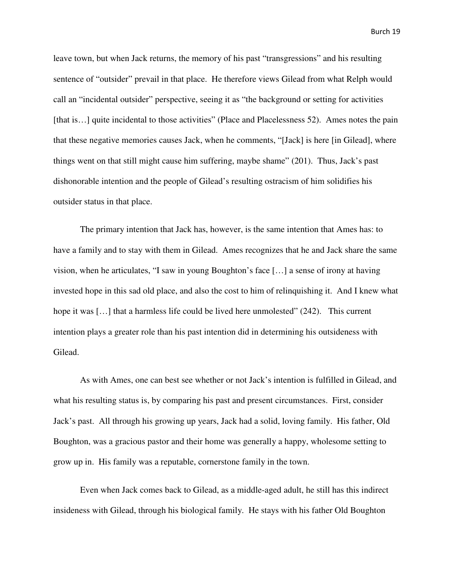leave town, but when Jack returns, the memory of his past "transgressions" and his resulting sentence of "outsider" prevail in that place. He therefore views Gilead from what Relph would call an "incidental outsider" perspective, seeing it as "the background or setting for activities [that is...] quite incidental to those activities" (Place and Placelessness 52). Ames notes the pain that these negative memories causes Jack, when he comments, "[Jack] is here [in Gilead], where things went on that still might cause him suffering, maybe shame" (201). Thus, Jack's past dishonorable intention and the people of Gilead's resulting ostracism of him solidifies his outsider status in that place.

 The primary intention that Jack has, however, is the same intention that Ames has: to have a family and to stay with them in Gilead. Ames recognizes that he and Jack share the same vision, when he articulates, "I saw in young Boughton's face […] a sense of irony at having invested hope in this sad old place, and also the cost to him of relinquishing it. And I knew what hope it was [...] that a harmless life could be lived here unmolested" (242). This current intention plays a greater role than his past intention did in determining his outsideness with Gilead.

 As with Ames, one can best see whether or not Jack's intention is fulfilled in Gilead, and what his resulting status is, by comparing his past and present circumstances. First, consider Jack's past. All through his growing up years, Jack had a solid, loving family. His father, Old Boughton, was a gracious pastor and their home was generally a happy, wholesome setting to grow up in. His family was a reputable, cornerstone family in the town.

 Even when Jack comes back to Gilead, as a middle-aged adult, he still has this indirect insideness with Gilead, through his biological family. He stays with his father Old Boughton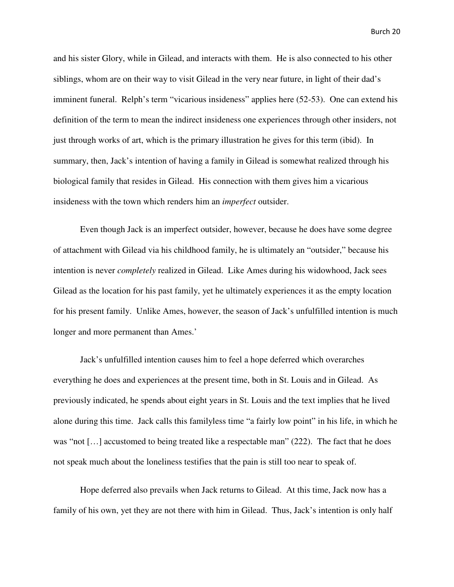and his sister Glory, while in Gilead, and interacts with them. He is also connected to his other siblings, whom are on their way to visit Gilead in the very near future, in light of their dad's imminent funeral. Relph's term "vicarious insideness" applies here (52-53). One can extend his definition of the term to mean the indirect insideness one experiences through other insiders, not just through works of art, which is the primary illustration he gives for this term (ibid). In summary, then, Jack's intention of having a family in Gilead is somewhat realized through his biological family that resides in Gilead. His connection with them gives him a vicarious insideness with the town which renders him an *imperfect* outsider.

 Even though Jack is an imperfect outsider, however, because he does have some degree of attachment with Gilead via his childhood family, he is ultimately an "outsider," because his intention is never *completely* realized in Gilead. Like Ames during his widowhood, Jack sees Gilead as the location for his past family, yet he ultimately experiences it as the empty location for his present family. Unlike Ames, however, the season of Jack's unfulfilled intention is much longer and more permanent than Ames.'

 Jack's unfulfilled intention causes him to feel a hope deferred which overarches everything he does and experiences at the present time, both in St. Louis and in Gilead. As previously indicated, he spends about eight years in St. Louis and the text implies that he lived alone during this time. Jack calls this familyless time "a fairly low point" in his life, in which he was "not [...] accustomed to being treated like a respectable man" (222). The fact that he does not speak much about the loneliness testifies that the pain is still too near to speak of.

 Hope deferred also prevails when Jack returns to Gilead. At this time, Jack now has a family of his own, yet they are not there with him in Gilead. Thus, Jack's intention is only half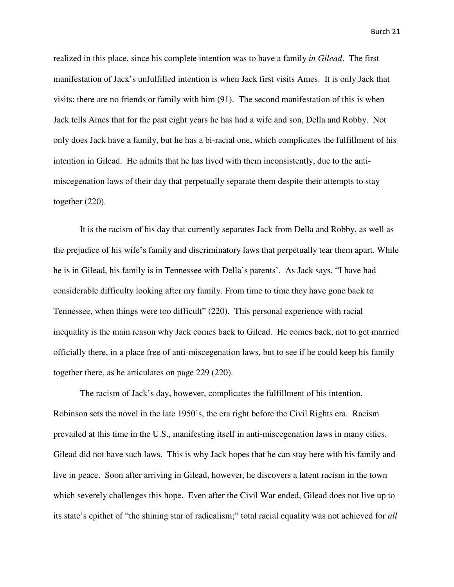realized in this place, since his complete intention was to have a family *in Gilead*. The first manifestation of Jack's unfulfilled intention is when Jack first visits Ames. It is only Jack that visits; there are no friends or family with him (91). The second manifestation of this is when Jack tells Ames that for the past eight years he has had a wife and son, Della and Robby. Not only does Jack have a family, but he has a bi-racial one, which complicates the fulfillment of his intention in Gilead. He admits that he has lived with them inconsistently, due to the antimiscegenation laws of their day that perpetually separate them despite their attempts to stay together (220).

 It is the racism of his day that currently separates Jack from Della and Robby, as well as the prejudice of his wife's family and discriminatory laws that perpetually tear them apart. While he is in Gilead, his family is in Tennessee with Della's parents'. As Jack says, "I have had considerable difficulty looking after my family. From time to time they have gone back to Tennessee, when things were too difficult" (220). This personal experience with racial inequality is the main reason why Jack comes back to Gilead. He comes back, not to get married officially there, in a place free of anti-miscegenation laws, but to see if he could keep his family together there, as he articulates on page 229 (220).

 The racism of Jack's day, however, complicates the fulfillment of his intention. Robinson sets the novel in the late 1950's, the era right before the Civil Rights era. Racism prevailed at this time in the U.S., manifesting itself in anti-miscegenation laws in many cities. Gilead did not have such laws. This is why Jack hopes that he can stay here with his family and live in peace. Soon after arriving in Gilead, however, he discovers a latent racism in the town which severely challenges this hope. Even after the Civil War ended, Gilead does not live up to its state's epithet of "the shining star of radicalism;" total racial equality was not achieved for *all*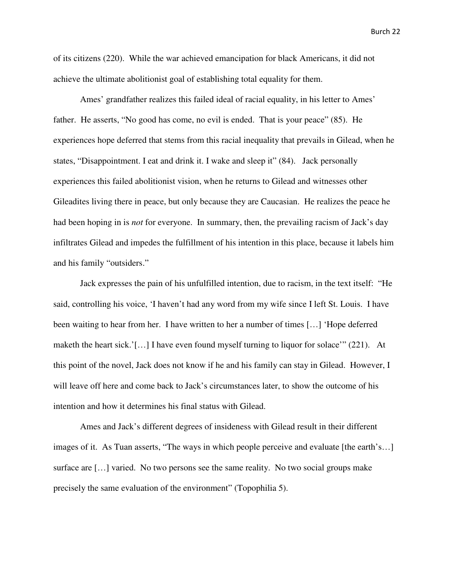of its citizens (220). While the war achieved emancipation for black Americans, it did not achieve the ultimate abolitionist goal of establishing total equality for them.

 Ames' grandfather realizes this failed ideal of racial equality, in his letter to Ames' father. He asserts, "No good has come, no evil is ended. That is your peace" (85). He experiences hope deferred that stems from this racial inequality that prevails in Gilead, when he states, "Disappointment. I eat and drink it. I wake and sleep it" (84). Jack personally experiences this failed abolitionist vision, when he returns to Gilead and witnesses other Gileadites living there in peace, but only because they are Caucasian. He realizes the peace he had been hoping in is *not* for everyone. In summary, then, the prevailing racism of Jack's day infiltrates Gilead and impedes the fulfillment of his intention in this place, because it labels him and his family "outsiders."

 Jack expresses the pain of his unfulfilled intention, due to racism, in the text itself: "He said, controlling his voice, 'I haven't had any word from my wife since I left St. Louis. I have been waiting to hear from her. I have written to her a number of times […] 'Hope deferred maketh the heart sick.'[…] I have even found myself turning to liquor for solace'" (221). At this point of the novel, Jack does not know if he and his family can stay in Gilead. However, I will leave off here and come back to Jack's circumstances later, to show the outcome of his intention and how it determines his final status with Gilead.

 Ames and Jack's different degrees of insideness with Gilead result in their different images of it. As Tuan asserts, "The ways in which people perceive and evaluate [the earth's…] surface are […] varied. No two persons see the same reality. No two social groups make precisely the same evaluation of the environment" (Topophilia 5).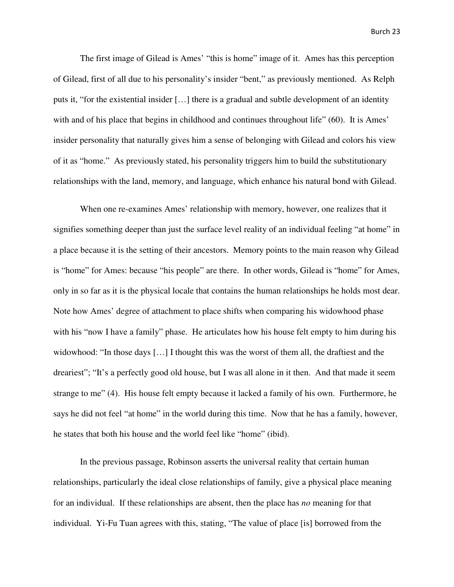The first image of Gilead is Ames' "this is home" image of it. Ames has this perception of Gilead, first of all due to his personality's insider "bent," as previously mentioned. As Relph puts it, "for the existential insider […] there is a gradual and subtle development of an identity with and of his place that begins in childhood and continues throughout life" (60). It is Ames' insider personality that naturally gives him a sense of belonging with Gilead and colors his view of it as "home." As previously stated, his personality triggers him to build the substitutionary relationships with the land, memory, and language, which enhance his natural bond with Gilead.

 When one re-examines Ames' relationship with memory, however, one realizes that it signifies something deeper than just the surface level reality of an individual feeling "at home" in a place because it is the setting of their ancestors. Memory points to the main reason why Gilead is "home" for Ames: because "his people" are there. In other words, Gilead is "home" for Ames, only in so far as it is the physical locale that contains the human relationships he holds most dear. Note how Ames' degree of attachment to place shifts when comparing his widowhood phase with his "now I have a family" phase. He articulates how his house felt empty to him during his widowhood: "In those days [...] I thought this was the worst of them all, the draftiest and the dreariest"; "It's a perfectly good old house, but I was all alone in it then. And that made it seem strange to me" (4). His house felt empty because it lacked a family of his own. Furthermore, he says he did not feel "at home" in the world during this time. Now that he has a family, however, he states that both his house and the world feel like "home" (ibid).

 In the previous passage, Robinson asserts the universal reality that certain human relationships, particularly the ideal close relationships of family, give a physical place meaning for an individual. If these relationships are absent, then the place has *no* meaning for that individual. Yi-Fu Tuan agrees with this, stating, "The value of place [is] borrowed from the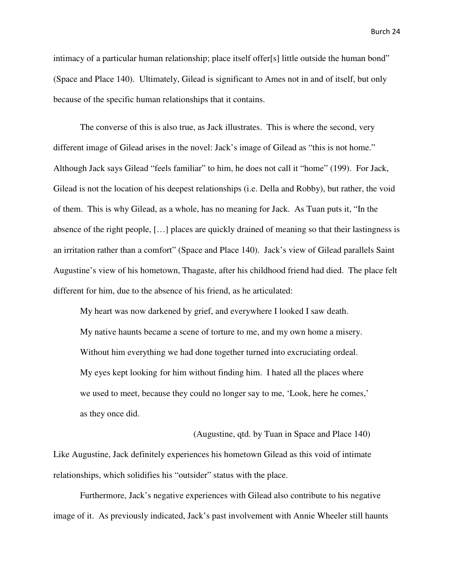intimacy of a particular human relationship; place itself offer[s] little outside the human bond" (Space and Place 140). Ultimately, Gilead is significant to Ames not in and of itself, but only because of the specific human relationships that it contains.

 The converse of this is also true, as Jack illustrates. This is where the second, very different image of Gilead arises in the novel: Jack's image of Gilead as "this is not home." Although Jack says Gilead "feels familiar" to him, he does not call it "home" (199). For Jack, Gilead is not the location of his deepest relationships (i.e. Della and Robby), but rather, the void of them. This is why Gilead, as a whole, has no meaning for Jack. As Tuan puts it, "In the absence of the right people, […] places are quickly drained of meaning so that their lastingness is an irritation rather than a comfort" (Space and Place 140). Jack's view of Gilead parallels Saint Augustine's view of his hometown, Thagaste, after his childhood friend had died. The place felt different for him, due to the absence of his friend, as he articulated:

 My heart was now darkened by grief, and everywhere I looked I saw death. My native haunts became a scene of torture to me, and my own home a misery. Without him everything we had done together turned into excruciating ordeal. My eyes kept looking for him without finding him. I hated all the places where we used to meet, because they could no longer say to me, 'Look, here he comes,' as they once did.

 (Augustine, qtd. by Tuan in Space and Place 140) Like Augustine, Jack definitely experiences his hometown Gilead as this void of intimate relationships, which solidifies his "outsider" status with the place.

 Furthermore, Jack's negative experiences with Gilead also contribute to his negative image of it. As previously indicated, Jack's past involvement with Annie Wheeler still haunts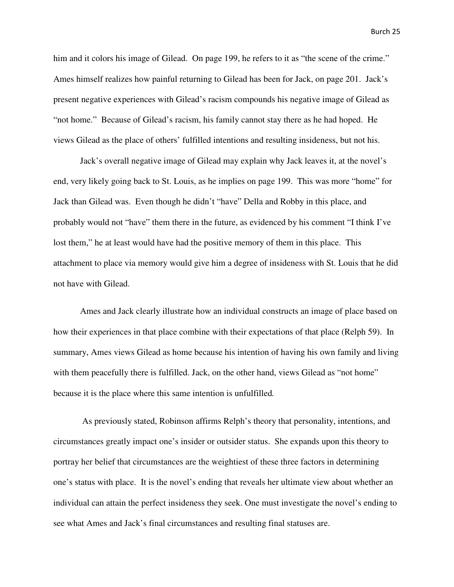him and it colors his image of Gilead. On page 199, he refers to it as "the scene of the crime." Ames himself realizes how painful returning to Gilead has been for Jack, on page 201. Jack's present negative experiences with Gilead's racism compounds his negative image of Gilead as "not home." Because of Gilead's racism, his family cannot stay there as he had hoped. He views Gilead as the place of others' fulfilled intentions and resulting insideness, but not his.

 Jack's overall negative image of Gilead may explain why Jack leaves it, at the novel's end, very likely going back to St. Louis, as he implies on page 199. This was more "home" for Jack than Gilead was. Even though he didn't "have" Della and Robby in this place, and probably would not "have" them there in the future, as evidenced by his comment "I think I've lost them," he at least would have had the positive memory of them in this place. This attachment to place via memory would give him a degree of insideness with St. Louis that he did not have with Gilead.

 Ames and Jack clearly illustrate how an individual constructs an image of place based on how their experiences in that place combine with their expectations of that place (Relph 59). In summary, Ames views Gilead as home because his intention of having his own family and living with them peacefully there is fulfilled. Jack, on the other hand, views Gilead as "not home" because it is the place where this same intention is unfulfilled*.*

 As previously stated, Robinson affirms Relph's theory that personality, intentions, and circumstances greatly impact one's insider or outsider status. She expands upon this theory to portray her belief that circumstances are the weightiest of these three factors in determining one's status with place. It is the novel's ending that reveals her ultimate view about whether an individual can attain the perfect insideness they seek. One must investigate the novel's ending to see what Ames and Jack's final circumstances and resulting final statuses are.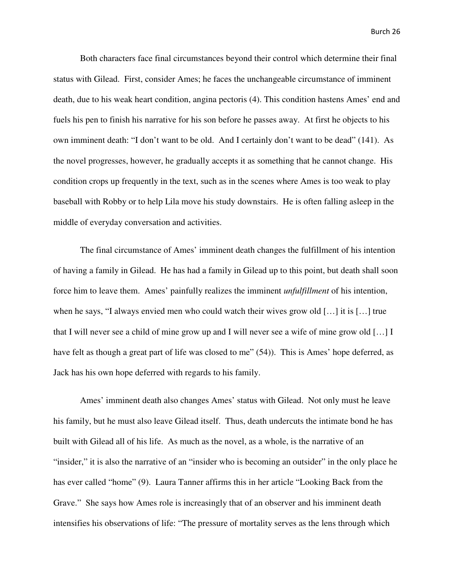Both characters face final circumstances beyond their control which determine their final status with Gilead. First, consider Ames; he faces the unchangeable circumstance of imminent death, due to his weak heart condition, angina pectoris (4). This condition hastens Ames' end and fuels his pen to finish his narrative for his son before he passes away. At first he objects to his own imminent death: "I don't want to be old. And I certainly don't want to be dead" (141). As the novel progresses, however, he gradually accepts it as something that he cannot change. His condition crops up frequently in the text, such as in the scenes where Ames is too weak to play baseball with Robby or to help Lila move his study downstairs. He is often falling asleep in the middle of everyday conversation and activities.

 The final circumstance of Ames' imminent death changes the fulfillment of his intention of having a family in Gilead. He has had a family in Gilead up to this point, but death shall soon force him to leave them. Ames' painfully realizes the imminent *unfulfillment* of his intention, when he says, "I always envied men who could watch their wives grow old […] it is […] true that I will never see a child of mine grow up and I will never see a wife of mine grow old […] I have felt as though a great part of life was closed to me" (54)). This is Ames' hope deferred, as Jack has his own hope deferred with regards to his family.

 Ames' imminent death also changes Ames' status with Gilead. Not only must he leave his family, but he must also leave Gilead itself. Thus, death undercuts the intimate bond he has built with Gilead all of his life. As much as the novel, as a whole, is the narrative of an "insider," it is also the narrative of an "insider who is becoming an outsider" in the only place he has ever called "home" (9). Laura Tanner affirms this in her article "Looking Back from the Grave." She says how Ames role is increasingly that of an observer and his imminent death intensifies his observations of life: "The pressure of mortality serves as the lens through which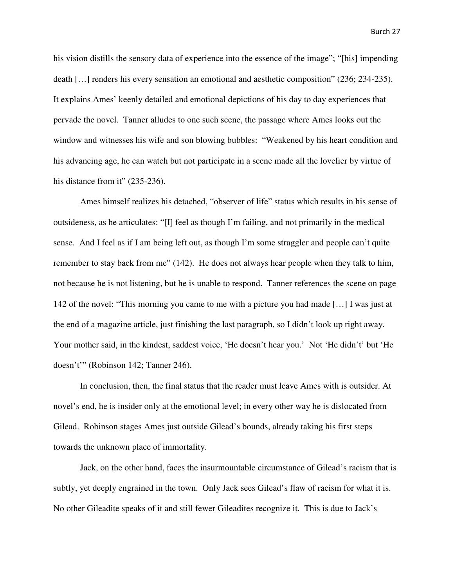his vision distills the sensory data of experience into the essence of the image"; "[his] impending death […] renders his every sensation an emotional and aesthetic composition" (236; 234-235). It explains Ames' keenly detailed and emotional depictions of his day to day experiences that pervade the novel. Tanner alludes to one such scene, the passage where Ames looks out the window and witnesses his wife and son blowing bubbles: "Weakened by his heart condition and his advancing age, he can watch but not participate in a scene made all the lovelier by virtue of his distance from it" (235-236).

 Ames himself realizes his detached, "observer of life" status which results in his sense of outsideness, as he articulates: "[I] feel as though I'm failing, and not primarily in the medical sense. And I feel as if I am being left out, as though I'm some straggler and people can't quite remember to stay back from me" (142). He does not always hear people when they talk to him, not because he is not listening, but he is unable to respond. Tanner references the scene on page 142 of the novel: "This morning you came to me with a picture you had made […] I was just at the end of a magazine article, just finishing the last paragraph, so I didn't look up right away. Your mother said, in the kindest, saddest voice, 'He doesn't hear you.' Not 'He didn't' but 'He doesn't'" (Robinson 142; Tanner 246).

 In conclusion, then, the final status that the reader must leave Ames with is outsider. At novel's end, he is insider only at the emotional level; in every other way he is dislocated from Gilead. Robinson stages Ames just outside Gilead's bounds, already taking his first steps towards the unknown place of immortality.

 Jack, on the other hand, faces the insurmountable circumstance of Gilead's racism that is subtly, yet deeply engrained in the town. Only Jack sees Gilead's flaw of racism for what it is. No other Gileadite speaks of it and still fewer Gileadites recognize it. This is due to Jack's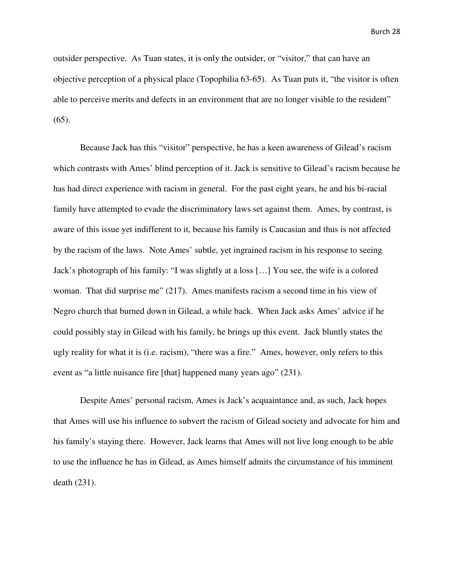outsider perspective. As Tuan states, it is only the outsider, or "visitor," that can have an objective perception of a physical place (Topophilia 63-65). As Tuan puts it, "the visitor is often able to perceive merits and defects in an environment that are no longer visible to the resident" (65).

 Because Jack has this "visitor" perspective, he has a keen awareness of Gilead's racism which contrasts with Ames' blind perception of it. Jack is sensitive to Gilead's racism because he has had direct experience with racism in general. For the past eight years, he and his bi-racial family have attempted to evade the discriminatory laws set against them. Ames, by contrast, is aware of this issue yet indifferent to it, because his family is Caucasian and thus is not affected by the racism of the laws. Note Ames' subtle, yet ingrained racism in his response to seeing Jack's photograph of his family: "I was slightly at a loss […] You see, the wife is a colored woman. That did surprise me" (217). Ames manifests racism a second time in his view of Negro church that burned down in Gilead, a while back. When Jack asks Ames' advice if he could possibly stay in Gilead with his family, he brings up this event. Jack bluntly states the ugly reality for what it is (i.e. racism), "there was a fire." Ames, however, only refers to this event as "a little nuisance fire [that] happened many years ago" (231).

 Despite Ames' personal racism, Ames is Jack's acquaintance and, as such, Jack hopes that Ames will use his influence to subvert the racism of Gilead society and advocate for him and his family's staying there. However, Jack learns that Ames will not live long enough to be able to use the influence he has in Gilead, as Ames himself admits the circumstance of his imminent death (231).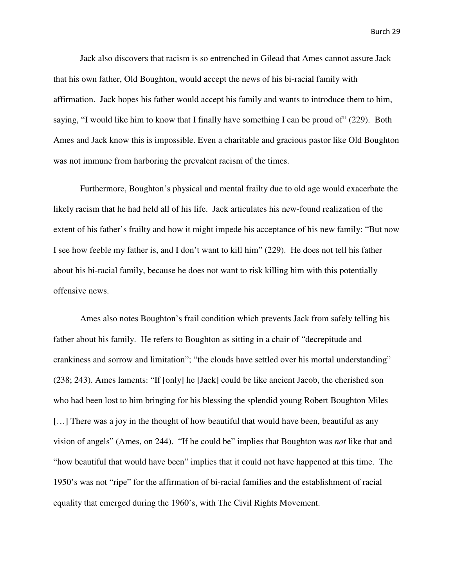Jack also discovers that racism is so entrenched in Gilead that Ames cannot assure Jack that his own father, Old Boughton, would accept the news of his bi-racial family with affirmation. Jack hopes his father would accept his family and wants to introduce them to him, saying, "I would like him to know that I finally have something I can be proud of" (229). Both Ames and Jack know this is impossible. Even a charitable and gracious pastor like Old Boughton was not immune from harboring the prevalent racism of the times.

 Furthermore, Boughton's physical and mental frailty due to old age would exacerbate the likely racism that he had held all of his life. Jack articulates his new-found realization of the extent of his father's frailty and how it might impede his acceptance of his new family: "But now I see how feeble my father is, and I don't want to kill him" (229). He does not tell his father about his bi-racial family, because he does not want to risk killing him with this potentially offensive news.

 Ames also notes Boughton's frail condition which prevents Jack from safely telling his father about his family. He refers to Boughton as sitting in a chair of "decrepitude and crankiness and sorrow and limitation"; "the clouds have settled over his mortal understanding" (238; 243). Ames laments: "If [only] he [Jack] could be like ancient Jacob, the cherished son who had been lost to him bringing for his blessing the splendid young Robert Boughton Miles [...] There was a joy in the thought of how beautiful that would have been, beautiful as any vision of angels" (Ames, on 244). "If he could be" implies that Boughton was *not* like that and "how beautiful that would have been" implies that it could not have happened at this time. The 1950's was not "ripe" for the affirmation of bi-racial families and the establishment of racial equality that emerged during the 1960's, with The Civil Rights Movement.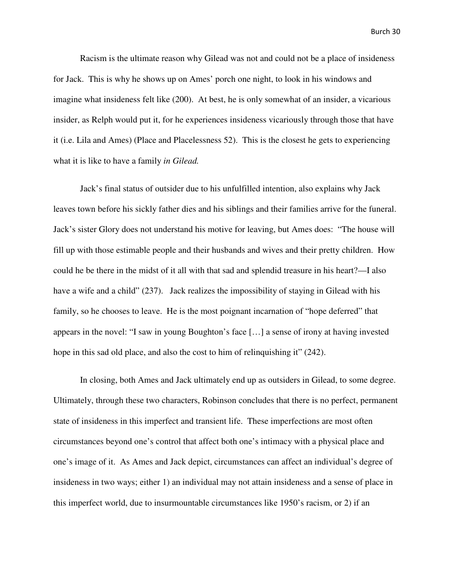Racism is the ultimate reason why Gilead was not and could not be a place of insideness for Jack. This is why he shows up on Ames' porch one night, to look in his windows and imagine what insideness felt like (200). At best, he is only somewhat of an insider, a vicarious insider, as Relph would put it, for he experiences insideness vicariously through those that have it (i.e. Lila and Ames) (Place and Placelessness 52). This is the closest he gets to experiencing what it is like to have a family *in Gilead.*

 Jack's final status of outsider due to his unfulfilled intention, also explains why Jack leaves town before his sickly father dies and his siblings and their families arrive for the funeral. Jack's sister Glory does not understand his motive for leaving, but Ames does: "The house will fill up with those estimable people and their husbands and wives and their pretty children. How could he be there in the midst of it all with that sad and splendid treasure in his heart?—I also have a wife and a child" (237). Jack realizes the impossibility of staying in Gilead with his family, so he chooses to leave. He is the most poignant incarnation of "hope deferred" that appears in the novel: "I saw in young Boughton's face […] a sense of irony at having invested hope in this sad old place, and also the cost to him of relinquishing it" (242).

 In closing, both Ames and Jack ultimately end up as outsiders in Gilead, to some degree. Ultimately, through these two characters, Robinson concludes that there is no perfect, permanent state of insideness in this imperfect and transient life. These imperfections are most often circumstances beyond one's control that affect both one's intimacy with a physical place and one's image of it. As Ames and Jack depict, circumstances can affect an individual's degree of insideness in two ways; either 1) an individual may not attain insideness and a sense of place in this imperfect world, due to insurmountable circumstances like 1950's racism, or 2) if an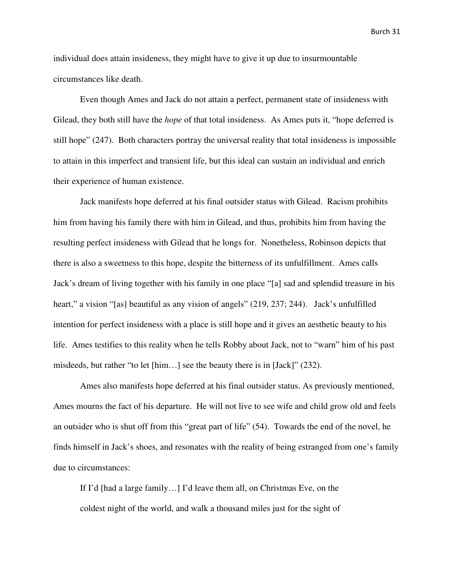individual does attain insideness, they might have to give it up due to insurmountable circumstances like death.

 Even though Ames and Jack do not attain a perfect, permanent state of insideness with Gilead, they both still have the *hope* of that total insideness. As Ames puts it, "hope deferred is still hope" (247). Both characters portray the universal reality that total insideness is impossible to attain in this imperfect and transient life, but this ideal can sustain an individual and enrich their experience of human existence.

 Jack manifests hope deferred at his final outsider status with Gilead. Racism prohibits him from having his family there with him in Gilead, and thus, prohibits him from having the resulting perfect insideness with Gilead that he longs for. Nonetheless, Robinson depicts that there is also a sweetness to this hope, despite the bitterness of its unfulfillment. Ames calls Jack's dream of living together with his family in one place "[a] sad and splendid treasure in his heart," a vision "[as] beautiful as any vision of angels" (219, 237; 244). Jack's unfulfilled intention for perfect insideness with a place is still hope and it gives an aesthetic beauty to his life. Ames testifies to this reality when he tells Robby about Jack, not to "warn" him of his past misdeeds, but rather "to let [him…] see the beauty there is in [Jack]" (232).

 Ames also manifests hope deferred at his final outsider status. As previously mentioned, Ames mourns the fact of his departure. He will not live to see wife and child grow old and feels an outsider who is shut off from this "great part of life" (54). Towards the end of the novel, he finds himself in Jack's shoes, and resonates with the reality of being estranged from one's family due to circumstances:

 If I'd [had a large family…] I'd leave them all, on Christmas Eve, on the coldest night of the world, and walk a thousand miles just for the sight of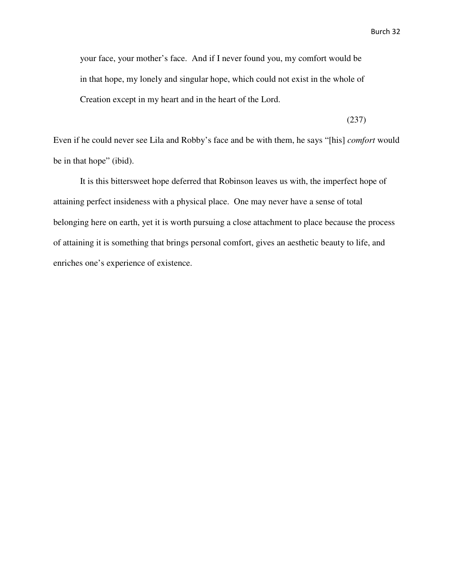your face, your mother's face. And if I never found you, my comfort would be in that hope, my lonely and singular hope, which could not exist in the whole of Creation except in my heart and in the heart of the Lord.

(237)

Even if he could never see Lila and Robby's face and be with them, he says "[his] *comfort* would be in that hope" (ibid).

 It is this bittersweet hope deferred that Robinson leaves us with, the imperfect hope of attaining perfect insideness with a physical place. One may never have a sense of total belonging here on earth, yet it is worth pursuing a close attachment to place because the process of attaining it is something that brings personal comfort, gives an aesthetic beauty to life, and enriches one's experience of existence.